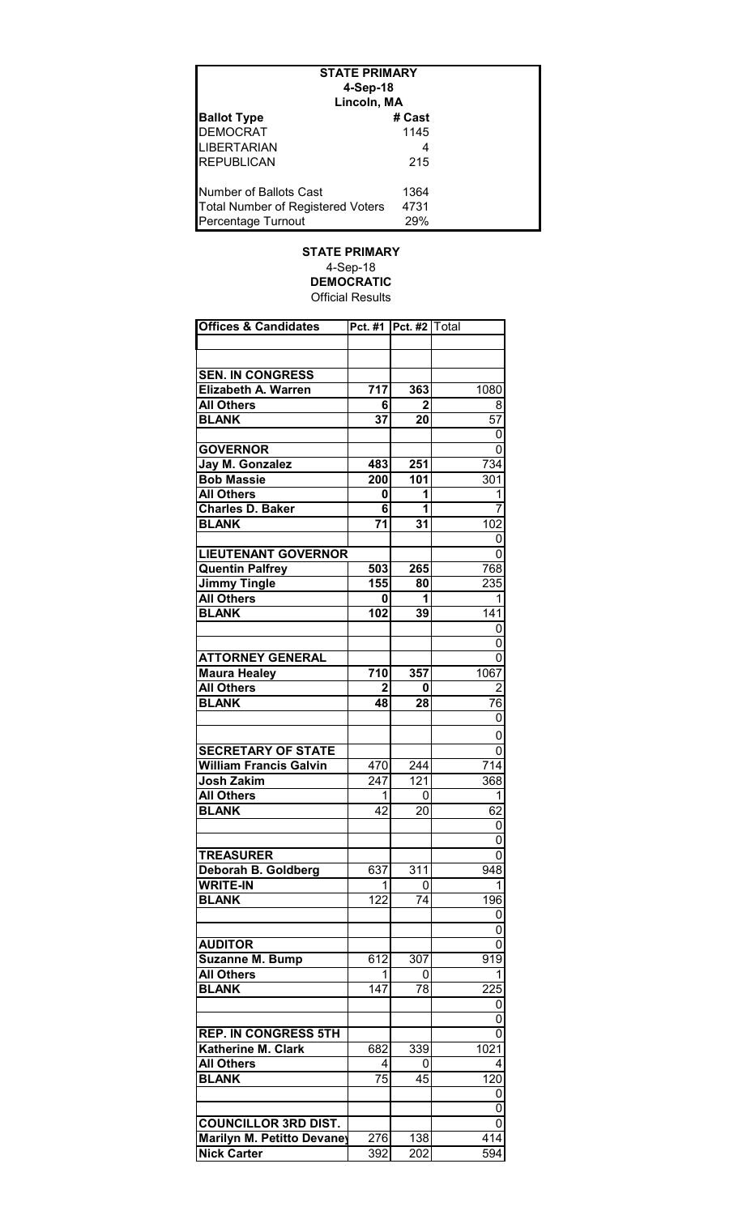| <b>STATE PRIMARY</b>                     |        |  |  |  |
|------------------------------------------|--------|--|--|--|
| 4-Sep-18                                 |        |  |  |  |
| Lincoln, MA                              |        |  |  |  |
| <b>Ballot Type</b>                       | # Cast |  |  |  |
| <b>DEMOCRAT</b>                          | 1145   |  |  |  |
| <b>LIBERTARIAN</b>                       |        |  |  |  |
| <b>REPUBLICAN</b>                        | 215    |  |  |  |
| Number of Ballots Cast                   | 1364   |  |  |  |
| <b>Total Number of Registered Voters</b> | 4731   |  |  |  |
| Percentage Turnout                       | 29%    |  |  |  |

## **STATE PRIMARY** 4-Sep-18 **DEMOCRATIC** Official Results

| <b>Offices &amp; Candidates</b> |     | Pct. #1   Pct. #2   Total |                  |
|---------------------------------|-----|---------------------------|------------------|
|                                 |     |                           |                  |
|                                 |     |                           |                  |
|                                 |     |                           |                  |
| <b>SEN. IN CONGRESS</b>         |     |                           |                  |
| Elizabeth A. Warren             | 717 | 363                       | 1080             |
| <b>All Others</b>               | 6   | $\mathbf{2}$              | 8                |
| <b>BLANK</b>                    | 37  | 20                        | 57               |
|                                 |     |                           | 0                |
| <b>GOVERNOR</b>                 |     |                           | 0                |
| Jay M. Gonzalez                 | 483 | 251                       | 734              |
| <b>Bob Massie</b>               | 200 | 101                       | 301              |
| <b>All Others</b>               | 0   | 1                         | 1                |
| <b>Charles D. Baker</b>         | 6   | 1                         | $\overline{7}$   |
| <b>BLANK</b>                    | 71  | 31                        | 102              |
|                                 |     |                           | 0                |
| <b>LIEUTENANT GOVERNOR</b>      |     |                           | 0                |
| <b>Quentin Palfrey</b>          | 503 | 265                       | 768              |
| Jimmy Tingle                    | 155 | 80                        | 235              |
| <b>All Others</b>               | 0   | 1                         | 1                |
| <b>BLANK</b>                    | 102 | 39                        | 141              |
|                                 |     |                           | 0                |
|                                 |     |                           | 0                |
| <b>ATTORNEY GENERAL</b>         |     |                           | 0                |
| Maura Healey                    | 710 | 357                       | 1067             |
| <b>All Others</b>               | 2   | 0                         | 2                |
| <b>BLANK</b>                    | 48  | $\overline{28}$           | 76               |
|                                 |     |                           | 0                |
|                                 |     |                           |                  |
|                                 |     |                           | 0                |
| <b>SECRETARY OF STATE</b>       |     |                           | 0                |
| <b>William Francis Galvin</b>   | 470 | 244                       | 714              |
| <b>Josh Zakim</b>               | 247 | 121                       | 368              |
| <b>All Others</b>               | 1   | 0                         | 1                |
| <b>BLANK</b>                    | 42  | 20                        | 62               |
|                                 |     |                           | 0                |
|                                 |     |                           | 0                |
| <b>TREASURER</b>                |     |                           | 0                |
| Deborah B. Goldberg             | 637 | 311                       | 948              |
| <b>WRITE-IN</b>                 | 1   | 0                         | 1                |
| <b>BLANK</b>                    | 122 | 74                        | 196              |
|                                 |     |                           | 0                |
|                                 |     |                           | 0                |
| <b>AUDITOR</b>                  |     |                           | 0                |
| <b>Suzanne M. Bump</b>          | 612 | 307                       | 919              |
| <b>All Others</b>               |     | 0                         | 1                |
| <b>BLANK</b>                    | 147 | 78                        | 225              |
|                                 |     |                           | 0                |
|                                 |     |                           | 0                |
| <b>REP. IN CONGRESS 5TH</b>     |     |                           | 0                |
| Katherine M. Clark              | 682 | 339                       | 1021             |
| <b>All Others</b>               | 4   | 0                         | 4                |
| <b>BLANK</b>                    | 75  | 45                        | 120              |
|                                 |     |                           | 0                |
|                                 |     |                           | 0                |
| <b>COUNCILLOR 3RD DIST.</b>     |     |                           | 0                |
| Marilyn M. Petitto Devaney      |     |                           | $41\overline{4}$ |
|                                 | 276 | 138                       |                  |
| <b>Nick Carter</b>              | 392 | 202                       | 594              |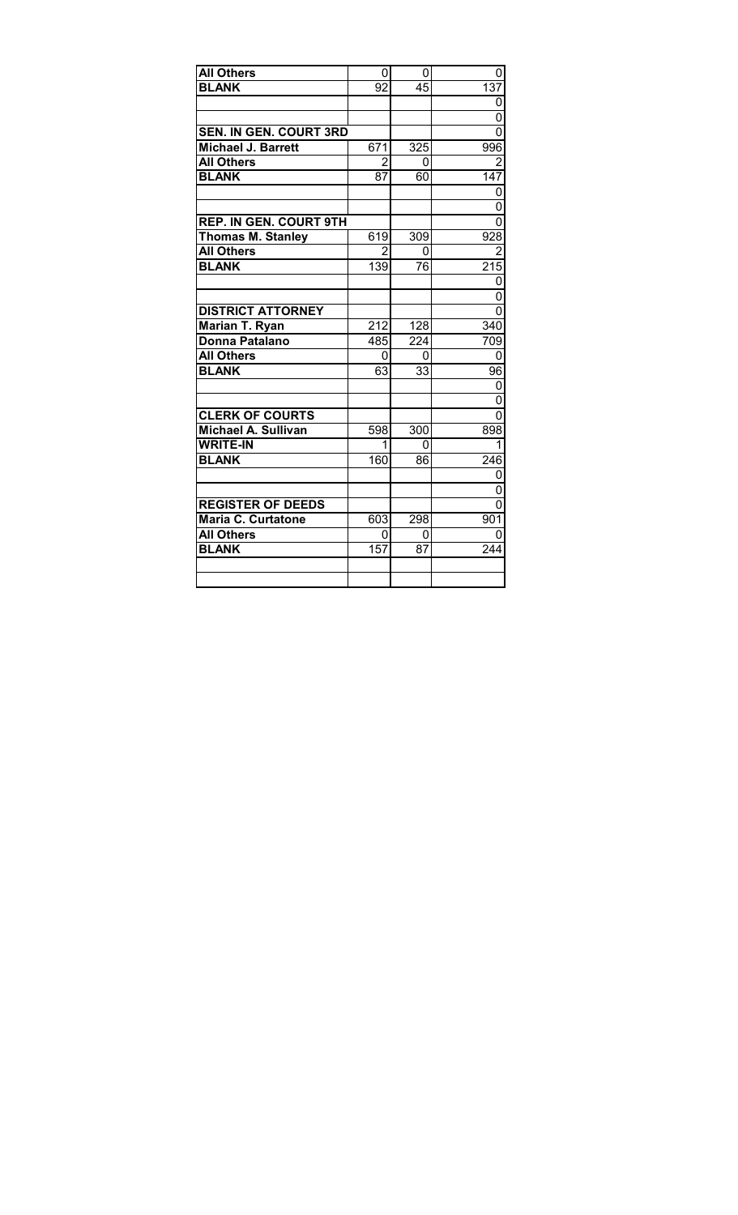| <b>All Others</b>             | 0               | 0               | 0                |
|-------------------------------|-----------------|-----------------|------------------|
| <b>BLANK</b>                  | $\overline{92}$ | 45              | 137              |
|                               |                 |                 | 0                |
|                               |                 |                 | $\overline{0}$   |
| <b>SEN. IN GEN. COURT 3RD</b> |                 |                 | $\overline{0}$   |
| <b>Michael J. Barrett</b>     | 671             | 325             | 996              |
| <b>All Others</b>             | $\overline{2}$  | 0               | $\overline{2}$   |
| <b>BLANK</b>                  | 87              | 60              | 147              |
|                               |                 |                 | 0                |
|                               |                 |                 | 0                |
| <b>REP. IN GEN. COURT 9TH</b> |                 |                 | 0                |
| <b>Thomas M. Stanley</b>      | 619             | 309             | 928              |
| <b>All Others</b>             | 2               | 0               | $\overline{2}$   |
| <b>BLANK</b>                  | 139             | 76              | 215              |
|                               |                 |                 | 0                |
|                               |                 |                 | 0                |
| <b>DISTRICT ATTORNEY</b>      |                 |                 | 0                |
| Marian T. Ryan                | 212             | 128             | 340              |
| Donna Patalano                | 485             | 224             | 709              |
| <b>All Others</b>             | 0               | 0               | 0                |
| <b>BLANK</b>                  | 63              | $\overline{33}$ | $\overline{96}$  |
|                               |                 |                 | 0                |
|                               |                 |                 | $\overline{0}$   |
| <b>CLERK OF COURTS</b>        |                 |                 | 0                |
| Michael A. Sullivan           | 598             | 300             | 898              |
| <b>WRITE-IN</b>               | 1               | 0               | 1                |
| <b>BLANK</b>                  | 160             | 86              | 246              |
|                               |                 |                 | 0                |
|                               |                 |                 | 0                |
| <b>REGISTER OF DEEDS</b>      |                 |                 | $\overline{0}$   |
| Maria C. Curtatone            | 603             | 298             | $90\overline{1}$ |
| All Others                    | 0               | 0               | 0                |
| <b>BLANK</b>                  | 157             | 87              | 244              |
|                               |                 |                 |                  |
|                               |                 |                 |                  |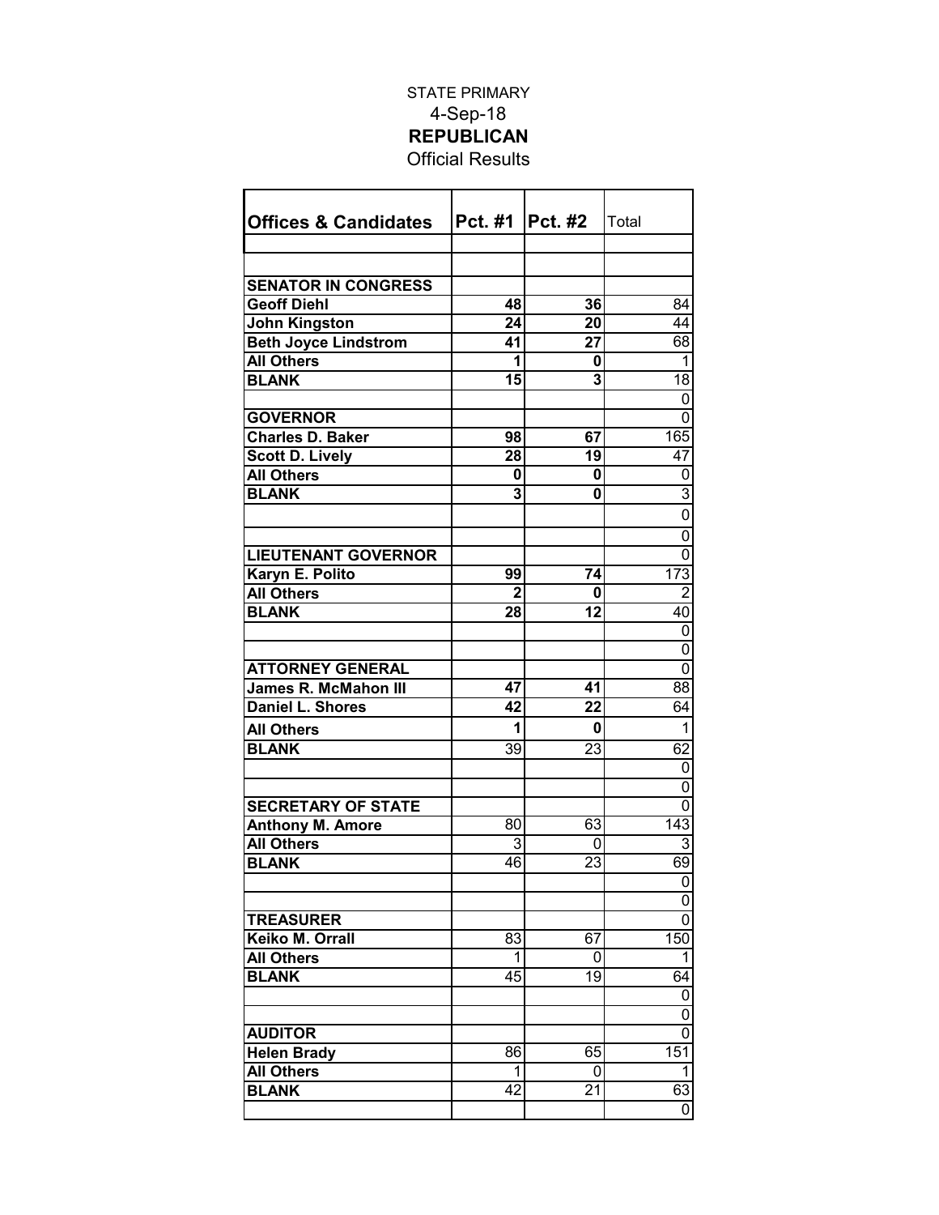## STATE PRIMARY 4-Sep-18 **REPUBLICAN** Official Results

| <b>Offices &amp; Candidates</b>                        | Pct. #1   Pct. #2 |                       | Total            |
|--------------------------------------------------------|-------------------|-----------------------|------------------|
|                                                        |                   |                       |                  |
| <b>SENATOR IN CONGRESS</b>                             |                   |                       |                  |
| <b>Geoff Diehl</b>                                     | 48                | 36                    | 84               |
|                                                        | 24                | 20                    | 44               |
| <b>John Kingston</b><br><b>Beth Joyce Lindstrom</b>    | 41                | $\overline{27}$       | 68               |
| <b>All Others</b>                                      | 1                 | 0                     | 1                |
| <b>BLANK</b>                                           | 15                | 3                     | 18               |
|                                                        |                   |                       | 0                |
| <b>GOVERNOR</b>                                        |                   |                       | 0                |
| <b>Charles D. Baker</b>                                | 98                | 67                    | 165              |
| <b>Scott D. Lively</b>                                 | 28                | 19                    | 47               |
| <b>All Others</b>                                      | 0                 | 0                     | 0                |
| <b>BLANK</b>                                           | 3                 | 0                     | 3                |
|                                                        |                   |                       | 0                |
|                                                        |                   |                       |                  |
|                                                        |                   |                       | 0                |
| <b>LIEUTENANT GOVERNOR</b>                             |                   |                       | 0                |
| Karyn E. Polito                                        | 99                | 74                    | $\overline{173}$ |
| <b>All Others</b>                                      | $\mathbf{2}$      | 0                     | $\overline{2}$   |
| <b>BLANK</b>                                           | 28                | 12                    | 40               |
|                                                        |                   |                       | 0                |
|                                                        |                   |                       | 0<br>0           |
| <b>ATTORNEY GENERAL</b><br><b>James R. McMahon III</b> |                   |                       | 88               |
| Daniel L. Shores                                       | 47<br>42          | 41<br>$\overline{22}$ | 64               |
|                                                        |                   |                       |                  |
| <b>All Others</b>                                      | 1                 | 0                     | 1                |
| <b>BLANK</b>                                           | 39                | 23                    | 62               |
|                                                        |                   |                       | 0                |
|                                                        |                   |                       | 0                |
| <b>SECRETARY OF STATE</b>                              |                   |                       | 0                |
| <b>Anthony M. Amore</b>                                | $\overline{80}$   | 63                    | $\overline{143}$ |
| <b>All Others</b>                                      | 3                 | 0                     | 3                |
| <b>BLANK</b>                                           | 46                | 23                    | 69               |
|                                                        |                   |                       | 0                |
|                                                        |                   |                       | 0                |
| <b>TREASURER</b>                                       |                   |                       | 0                |
| Keiko M. Orrall                                        | 83                | 67                    | 150              |
| <b>All Others</b>                                      | 1                 | 0                     | $\overline{1}$   |
| <b>BLANK</b>                                           | 45                | 19                    | 64               |
|                                                        |                   |                       | 0                |
|                                                        |                   |                       | 0                |
| <b>AUDITOR</b>                                         |                   |                       | 0                |
| <b>Helen Brady</b>                                     | 86                | 65                    | 151              |
| <b>All Others</b>                                      | 1                 | 0                     | 1                |
| <b>BLANK</b>                                           | 42                | 21                    | 63               |
|                                                        |                   |                       | 0                |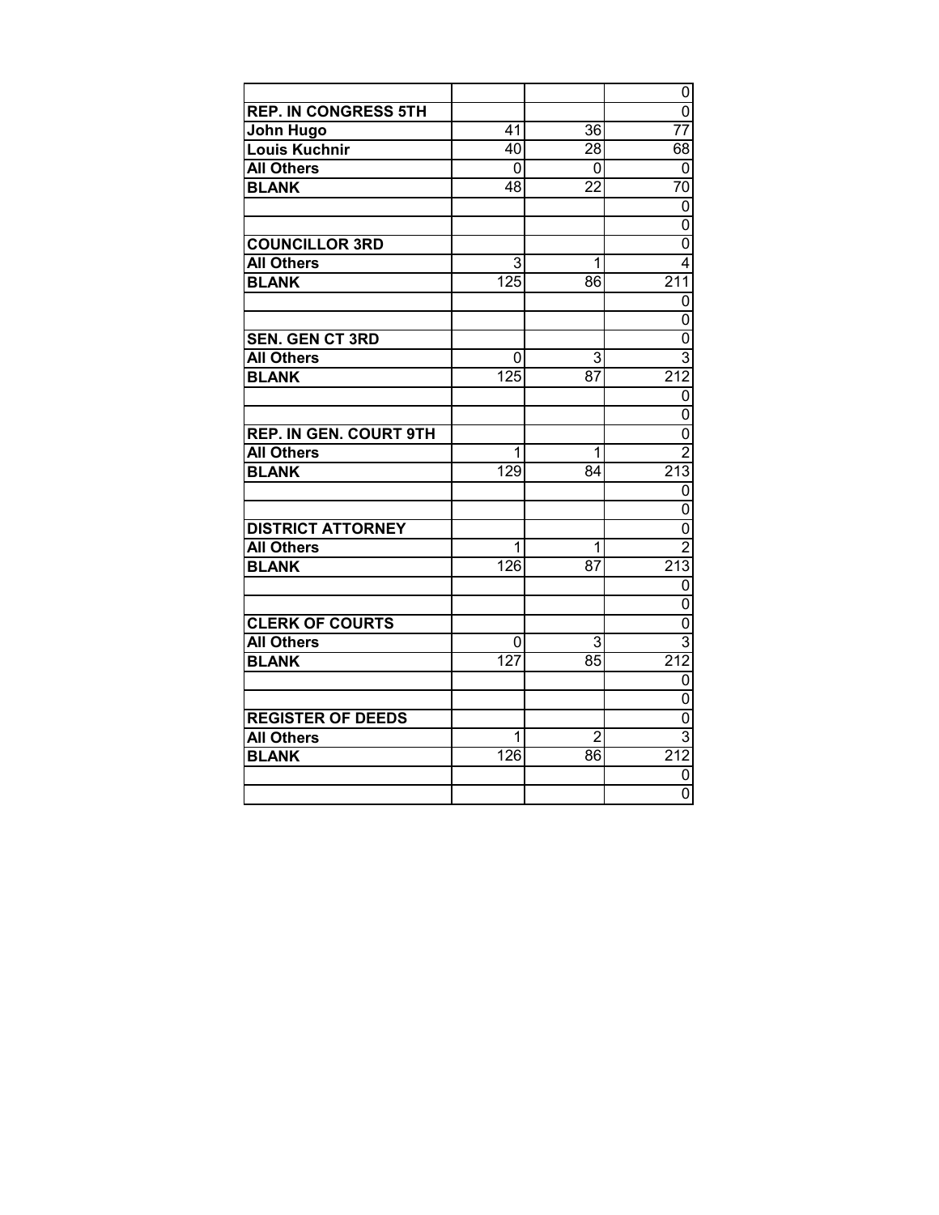|                               |                  |                 | 0<br>$\overline{0}$                   |
|-------------------------------|------------------|-----------------|---------------------------------------|
| <b>REP. IN CONGRESS 5TH</b>   |                  |                 |                                       |
| John Hugo                     | 41               | 36              | 77                                    |
| <b>Louis Kuchnir</b>          | $\overline{40}$  | $\overline{28}$ | 68                                    |
| <b>All Others</b>             | 0                | 0               | 0                                     |
| <b>BLANK</b>                  | $\overline{48}$  | $\overline{22}$ | $\overline{70}$                       |
|                               |                  |                 | $\overline{0}$                        |
|                               |                  |                 | $\overline{0}$                        |
| <b>COUNCILLOR 3RD</b>         |                  |                 | $\overline{0}$                        |
| <b>All Others</b>             | 3                | 1               | $\overline{4}$                        |
| <b>BLANK</b>                  | 125              | $\overline{86}$ | 211                                   |
|                               |                  |                 | $\overline{0}$                        |
|                               |                  |                 | $\overline{0}$                        |
| <b>SEN. GEN CT 3RD</b>        |                  |                 | $\overline{0}$                        |
| <b>All Others</b>             | 0                | 3               | $\overline{3}$                        |
| <b>BLANK</b>                  | $\overline{125}$ | 87              | 212                                   |
|                               |                  |                 | $\mathbf 0$                           |
|                               |                  |                 | $\overline{0}$                        |
| <b>REP. IN GEN. COURT 9TH</b> |                  |                 |                                       |
| <b>All Others</b>             | 1                | 1               | $\frac{1}{\sqrt{10}}$ $\frac{2}{213}$ |
| <b>BLANK</b>                  | 129              | 84              |                                       |
|                               |                  |                 | $\overline{0}$                        |
|                               |                  |                 | $\overline{0}$                        |
| <b>DISTRICT ATTORNEY</b>      |                  |                 | $\overline{0}$                        |
| <b>All Others</b>             | 1                | 1               | $\overline{2}$                        |
| <b>BLANK</b>                  | 126              | 87              | 213                                   |
|                               |                  |                 | $\overline{0}$                        |
|                               |                  |                 | $\overline{0}$                        |
| <b>CLERK OF COURTS</b>        |                  |                 | $\overline{0}$<br>$\overline{3}$      |
| <b>All Others</b>             | 0                | 3               |                                       |
| <b>BLANK</b>                  | $\overline{127}$ | 85              | 212                                   |
|                               |                  |                 | $\overline{0}$                        |
|                               |                  |                 | $\overline{0}$                        |
| <b>REGISTER OF DEEDS</b>      |                  |                 | $\overline{0}$                        |
| <b>All Others</b>             | 1                | $\overline{2}$  | $\overline{3}$                        |
| <b>BLANK</b>                  | 126              | $\overline{86}$ | 212                                   |
|                               |                  |                 | $\overline{0}$                        |
|                               |                  |                 | $\overline{0}$                        |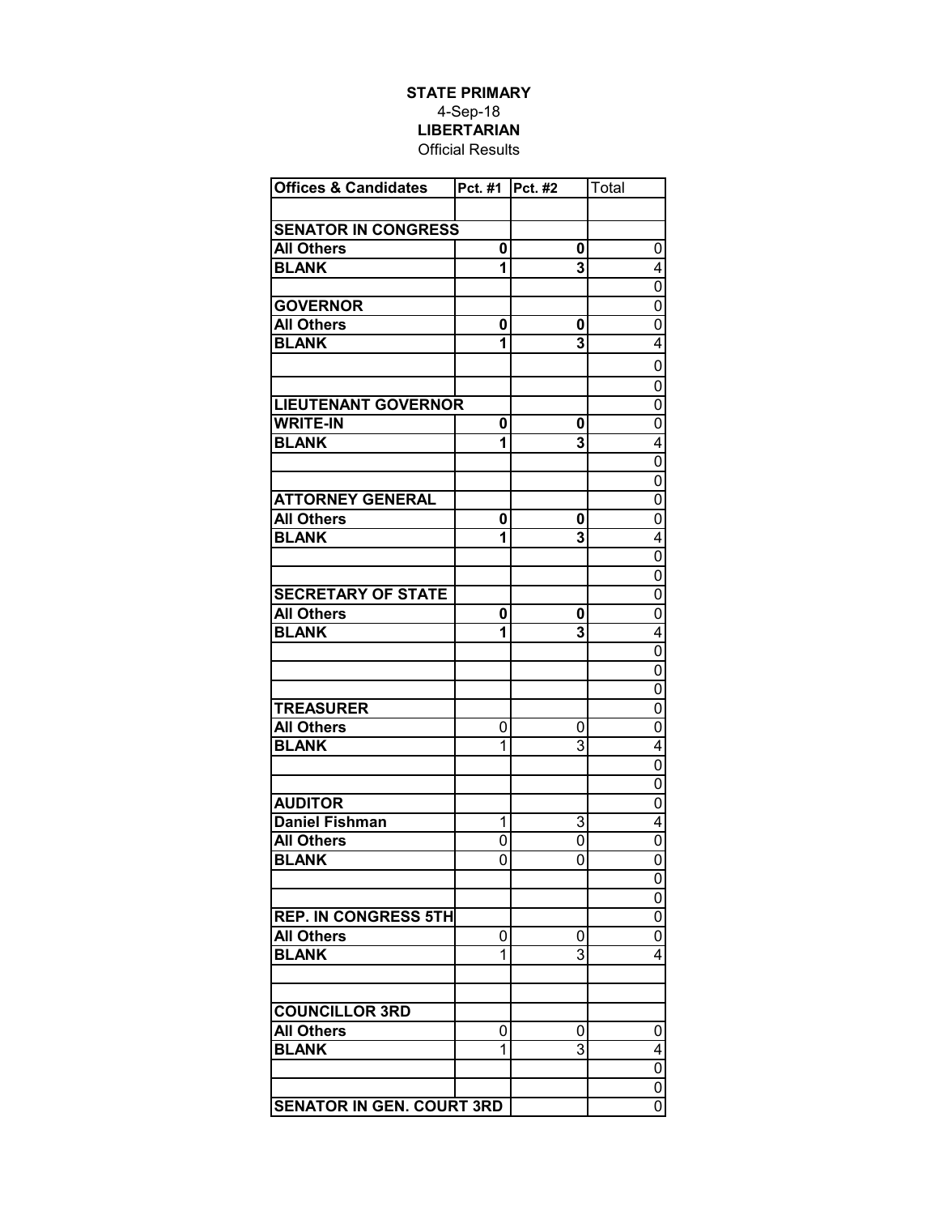## **STATE PRIMARY** 4-Sep-18 **LIBERTARIAN** Official Results

| <b>Offices &amp; Candidates</b>  | Pct. #1 | Pct. #2 | Total          |
|----------------------------------|---------|---------|----------------|
|                                  |         |         |                |
| <b>SENATOR IN CONGRESS</b>       |         |         |                |
| <b>All Others</b>                | 0       | 0       | 0              |
| <b>BLANK</b>                     | 1       | 3       | 4              |
|                                  |         |         | 0              |
| <b>GOVERNOR</b>                  |         |         | 0              |
| <b>All Others</b>                | 0       | 0       | 0              |
| <b>BLANK</b>                     | 1       | 3       | 4              |
|                                  |         |         | 0              |
|                                  |         |         |                |
|                                  |         |         | 0              |
| <b>LIEUTENANT GOVERNOR</b>       |         |         | $\overline{0}$ |
| <b>WRITE-IN</b>                  | 0       | 0       | $\overline{0}$ |
| <b>BLANK</b>                     | 1       | 3       | $\overline{4}$ |
|                                  |         |         | $\overline{0}$ |
|                                  |         |         | $\overline{0}$ |
| <b>ATTORNEY GENERAL</b>          |         |         | $\overline{0}$ |
| <b>All Others</b>                | 0       | 0       | $\overline{0}$ |
| <b>BLANK</b>                     | 1       | 3       | 4              |
|                                  |         |         | $\overline{0}$ |
|                                  |         |         | $\overline{0}$ |
| <b>SECRETARY OF STATE</b>        |         |         | $\overline{0}$ |
| <b>All Others</b>                | 0       | 0       | $\overline{0}$ |
| <b>BLANK</b>                     | 1       | 3       | 4              |
|                                  |         |         | $\overline{0}$ |
|                                  |         |         | 0              |
|                                  |         |         | 0              |
| <b>TREASURER</b>                 |         |         | $\overline{0}$ |
| <b>All Others</b>                | 0       | 0       | 0              |
| <b>BLANK</b>                     | 1       | 3       | $\overline{4}$ |
|                                  |         |         | $\overline{0}$ |
|                                  |         |         | 0              |
| <b>AUDITOR</b>                   |         |         | 0              |
| <b>Daniel Fishman</b>            | 1       | 3       | 4              |
| <b>All Others</b>                | 0       | 0       | 0              |
| <b>BLANK</b>                     | 0       | 0       | 0              |
|                                  |         |         | 0              |
|                                  |         |         | 0              |
| <b>REP. IN CONGRESS 5TH</b>      |         |         | $\overline{0}$ |
| <b>All Others</b>                | 0       | 0       | $\overline{0}$ |
| <b>BLANK</b>                     | 1       | 3       | $\overline{4}$ |
|                                  |         |         |                |
|                                  |         |         |                |
| <b>COUNCILLOR 3RD</b>            |         |         |                |
| <b>All Others</b>                | 0       | 0       | 0              |
| <b>BLANK</b>                     | 1       | 3       | 4              |
|                                  |         |         | $\overline{0}$ |
|                                  |         |         | $\overline{0}$ |
| <b>SENATOR IN GEN. COURT 3RD</b> |         |         | $\overline{0}$ |